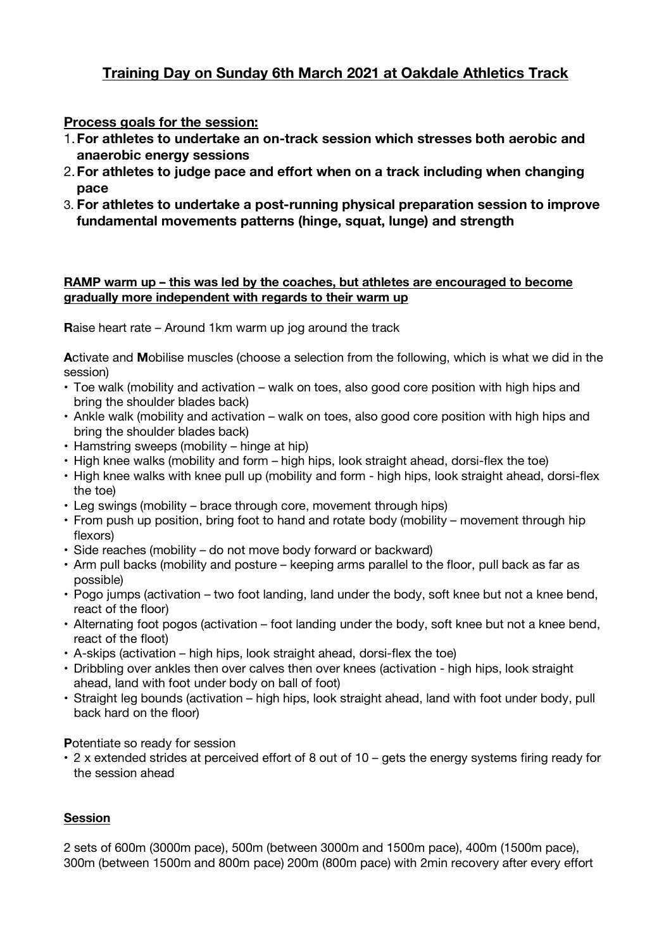# **Training Day on Sunday 6th March 2021 at Oakdale Athletics Track**

## **Process goals for the session:**

- 1.**For athletes to undertake an on-track session which stresses both aerobic and anaerobic energy sessions**
- 2.**For athletes to judge pace and effort when on a track including when changing pace**
- 3. **For athletes to undertake a post-running physical preparation session to improve fundamental movements patterns (hinge, squat, lunge) and strength**

#### **RAMP warm up – this was led by the coaches, but athletes are encouraged to become gradually more independent with regards to their warm up**

**R**aise heart rate – Around 1km warm up jog around the track

**A**ctivate and **M**obilise muscles (choose a selection from the following, which is what we did in the session)

- Toe walk (mobility and activation walk on toes, also good core position with high hips and bring the shoulder blades back)
- Ankle walk (mobility and activation walk on toes, also good core position with high hips and bring the shoulder blades back)
- Hamstring sweeps (mobility hinge at hip)
- High knee walks (mobility and form high hips, look straight ahead, dorsi-flex the toe)
- High knee walks with knee pull up (mobility and form high hips, look straight ahead, dorsi-flex the toe)
- Leg swings (mobility brace through core, movement through hips)
- From push up position, bring foot to hand and rotate body (mobility movement through hip flexors)
- Side reaches (mobility do not move body forward or backward)
- Arm pull backs (mobility and posture keeping arms parallel to the floor, pull back as far as possible)
- Pogo jumps (activation two foot landing, land under the body, soft knee but not a knee bend, react of the floor)
- Alternating foot pogos (activation foot landing under the body, soft knee but not a knee bend, react of the floot)
- A-skips (activation high hips, look straight ahead, dorsi-flex the toe)
- Dribbling over ankles then over calves then over knees (activation high hips, look straight ahead, land with foot under body on ball of foot)
- Straight leg bounds (activation high hips, look straight ahead, land with foot under body, pull back hard on the floor)

**P**otentiate so ready for session

**•** 2 x extended strides at perceived effort of 8 out of 10 – gets the energy systems firing ready for the session ahead

### **Session**

2 sets of 600m (3000m pace), 500m (between 3000m and 1500m pace), 400m (1500m pace), 300m (between 1500m and 800m pace) 200m (800m pace) with 2min recovery after every effort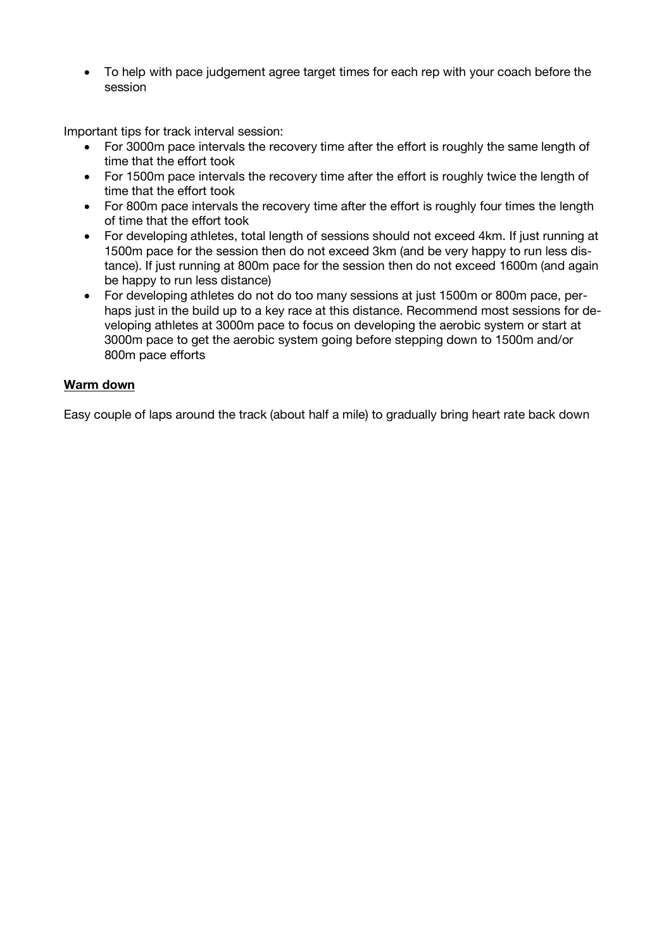• To help with pace judgement agree target times for each rep with your coach before the session

Important tips for track interval session:

- For 3000m pace intervals the recovery time after the effort is roughly the same length of time that the effort took
- For 1500m pace intervals the recovery time after the effort is roughly twice the length of time that the effort took
- For 800m pace intervals the recovery time after the effort is roughly four times the length of time that the effort took
- For developing athletes, total length of sessions should not exceed 4km. If just running at 1500m pace for the session then do not exceed 3km (and be very happy to run less distance). If just running at 800m pace for the session then do not exceed 1600m (and again be happy to run less distance)
- For developing athletes do not do too many sessions at just 1500m or 800m pace, perhaps just in the build up to a key race at this distance. Recommend most sessions for developing athletes at 3000m pace to focus on developing the aerobic system or start at 3000m pace to get the aerobic system going before stepping down to 1500m and/or 800m pace efforts

#### **Warm down**

Easy couple of laps around the track (about half a mile) to gradually bring heart rate back down